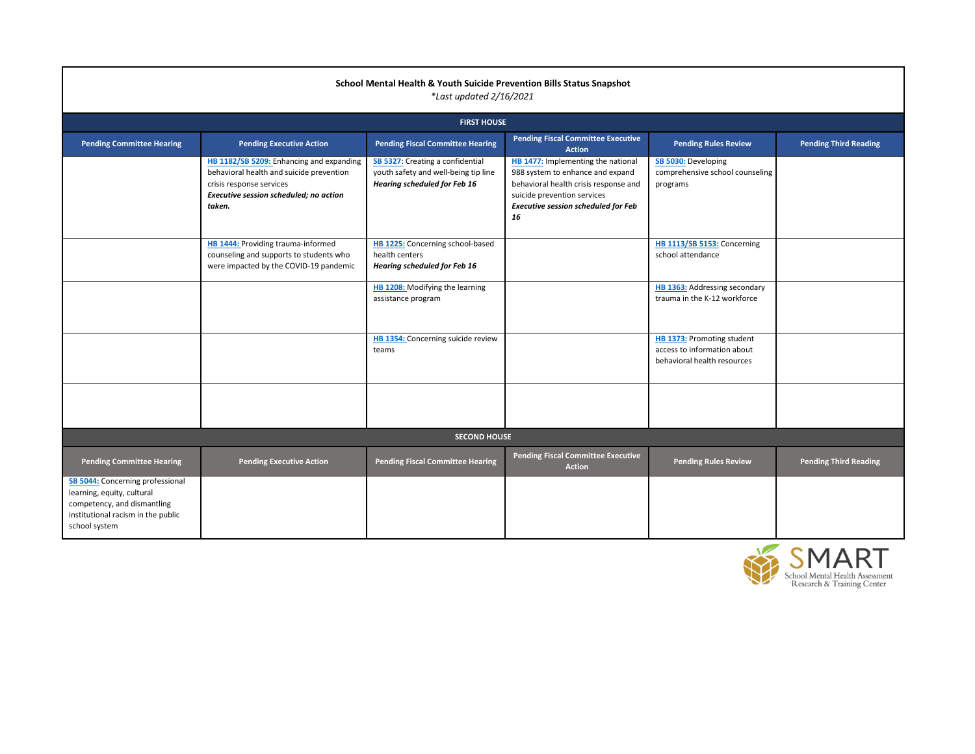| <b>Committee Executive</b><br><b>Action</b>                                                                 | <b>Pending Rules Review</b>                                                              | <b>Pending Third Reading</b> |
|-------------------------------------------------------------------------------------------------------------|------------------------------------------------------------------------------------------|------------------------------|
| menting the national<br>nhance and expand<br>th crisis response and<br>ion services<br>on scheduled for Feb | SB 5030: Developing<br>comprehensive school counseling<br>programs                       |                              |
|                                                                                                             | HB 1113/SB 5153: Concerning<br>school attendance                                         |                              |
|                                                                                                             | <b>HB 1363:</b> Addressing secondary<br>trauma in the K-12 workforce                     |                              |
|                                                                                                             | HB 1373: Promoting student<br>access to information about<br>behavioral health resources |                              |
|                                                                                                             |                                                                                          |                              |
|                                                                                                             |                                                                                          |                              |
| <b>Committee Executive</b><br><b>Action</b>                                                                 | <b>Pending Rules Review</b>                                                              | <b>Pending Third Reading</b> |
|                                                                                                             |                                                                                          |                              |
|                                                                                                             |                                                                                          | SMART                        |

School Mental Health Assessment<br>Research & Training Center

## **School Mental Health & Youth Suicide Prevention Bills Status Snapshot** *\*Last updated 2/16/2021*

|                                                                                                                                                             | <b>FIRST HOUSE</b>                                                                                                                                                   |                                                                                                                 |                                                                                                                                                                                                    |  |  |
|-------------------------------------------------------------------------------------------------------------------------------------------------------------|----------------------------------------------------------------------------------------------------------------------------------------------------------------------|-----------------------------------------------------------------------------------------------------------------|----------------------------------------------------------------------------------------------------------------------------------------------------------------------------------------------------|--|--|
| <b>Pending Committee Hearing</b>                                                                                                                            | <b>Pending Executive Action</b>                                                                                                                                      | <b>Pending Fiscal Committee Hearing</b>                                                                         | <b>Pending Fiscal Committee Executive</b><br><b>Action</b>                                                                                                                                         |  |  |
|                                                                                                                                                             | HB 1182/SB 5209: Enhancing and expanding<br>behavioral health and suicide prevention<br>crisis response services<br>Executive session scheduled; no action<br>taken. | SB 5327: Creating a confidential<br>youth safety and well-being tip line<br><b>Hearing scheduled for Feb 16</b> | HB 1477: Implementing the national<br>988 system to enhance and expand<br>behavioral health crisis response and<br>suicide prevention services<br><b>Executive session scheduled for Feb</b><br>16 |  |  |
|                                                                                                                                                             | HB 1444: Providing trauma-informed<br>counseling and supports to students who<br>were impacted by the COVID-19 pandemic                                              | HB 1225: Concerning school-based<br>health centers<br><b>Hearing scheduled for Feb 16</b>                       |                                                                                                                                                                                                    |  |  |
|                                                                                                                                                             |                                                                                                                                                                      | HB 1208: Modifying the learning<br>assistance program                                                           |                                                                                                                                                                                                    |  |  |
|                                                                                                                                                             |                                                                                                                                                                      | HB 1354: Concerning suicide review<br>teams                                                                     |                                                                                                                                                                                                    |  |  |
|                                                                                                                                                             |                                                                                                                                                                      |                                                                                                                 |                                                                                                                                                                                                    |  |  |
|                                                                                                                                                             |                                                                                                                                                                      | <b>SECOND HOUSE</b>                                                                                             |                                                                                                                                                                                                    |  |  |
| <b>Pending Committee Hearing</b>                                                                                                                            | <b>Pending Executive Action</b>                                                                                                                                      | <b>Pending Fiscal Committee Hearing</b>                                                                         | <b>Pending Fiscal Committee Executive</b><br><b>Action</b>                                                                                                                                         |  |  |
| <b>SB 5044:</b> Concerning professional<br>learning, equity, cultural<br>competency, and dismantling<br>institutional racism in the public<br>school system |                                                                                                                                                                      |                                                                                                                 |                                                                                                                                                                                                    |  |  |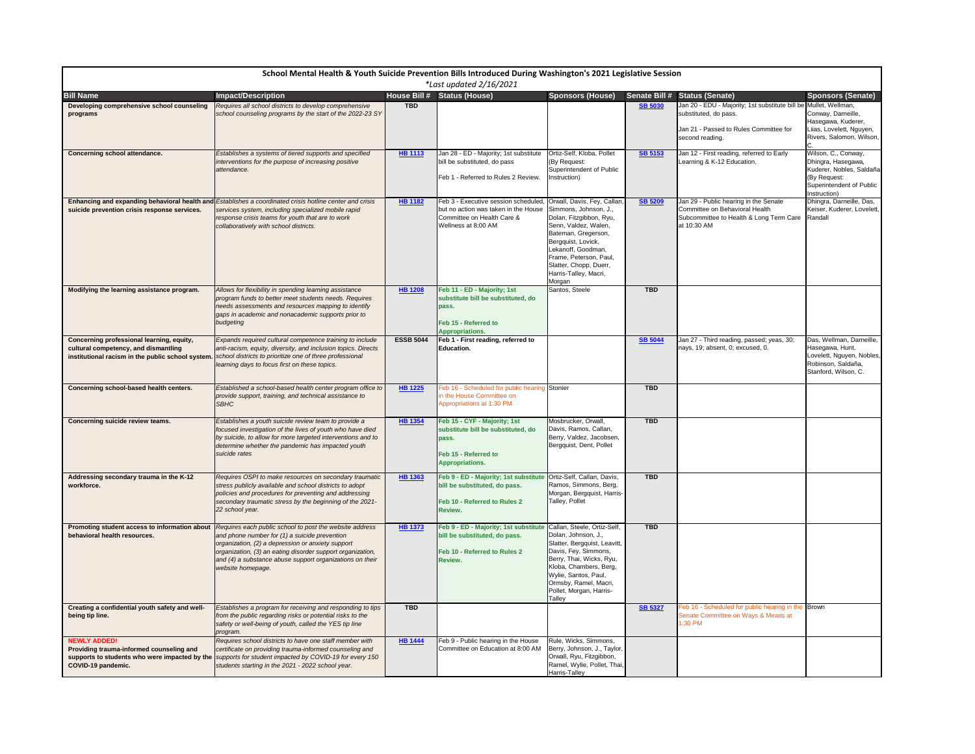| School Mental Health & Youth Suicide Prevention Bills Introduced During Washington's 2021 Legislative Session |                                                                                                                                                                                                                                                                                                                                                              |                     |                                                                                                                                   |                                                                                                                                                                                                                                                                   |                |                                                                                                                                     |                                                                                                                                   |
|---------------------------------------------------------------------------------------------------------------|--------------------------------------------------------------------------------------------------------------------------------------------------------------------------------------------------------------------------------------------------------------------------------------------------------------------------------------------------------------|---------------------|-----------------------------------------------------------------------------------------------------------------------------------|-------------------------------------------------------------------------------------------------------------------------------------------------------------------------------------------------------------------------------------------------------------------|----------------|-------------------------------------------------------------------------------------------------------------------------------------|-----------------------------------------------------------------------------------------------------------------------------------|
|                                                                                                               |                                                                                                                                                                                                                                                                                                                                                              |                     | *Last updated $2/16/2021$                                                                                                         |                                                                                                                                                                                                                                                                   |                |                                                                                                                                     |                                                                                                                                   |
| <b>Bill Name</b>                                                                                              | <b>Impact/Description</b>                                                                                                                                                                                                                                                                                                                                    | <b>House Bill #</b> | <b>Status (House)</b>                                                                                                             | <b>Sponsors (House)</b>                                                                                                                                                                                                                                           |                | Senate Bill # Status (Senate)                                                                                                       | Sponsors (Senate)                                                                                                                 |
| Developing comprehensive school counseling<br>programs                                                        | Requires all school districts to develop comprehensive<br>school counseling programs by the start of the 2022-23 SY                                                                                                                                                                                                                                          | <b>TBD</b>          |                                                                                                                                   |                                                                                                                                                                                                                                                                   | <b>SB 5030</b> | Jan 20 - EDU - Majority; 1st substitute bill be Mullet, Wellman,<br>substituted, do pass.<br>Jan 21 - Passed to Rules Committee for | Conway, Darneille,<br>Hasegawa, Kuderer,<br>Liias, Lovelett, Nguyen,                                                              |
|                                                                                                               |                                                                                                                                                                                                                                                                                                                                                              |                     |                                                                                                                                   |                                                                                                                                                                                                                                                                   |                | second reading.                                                                                                                     | Rivers, Salomon, Wilson,                                                                                                          |
| <b>Concerning school attendance.</b>                                                                          | Establishes a systems of tiered supports and specified<br>interventions for the purpose of increasing positive<br>attendance.                                                                                                                                                                                                                                | <b>HB 1113</b>      | Jan 28 - ED - Majority; 1st substitute<br>bill be substituted, do pass<br>Feb 1 - Referred to Rules 2 Review.                     | Ortiz-Self, Kloba, Pollet<br>(By Request:<br>Superintendent of Public<br>Instruction)                                                                                                                                                                             | <b>SB 5153</b> | Jan 12 - First reading, referred to Early<br>Learning & K-12 Education.                                                             | Wilson, C., Conway,<br>Dhingra, Hasegawa,<br>Kuderer, Nobles, Saldaña<br>(By Request:<br>Superintendent of Public<br>Instruction) |
| suicide prevention crisis response services.                                                                  | Enhancing and expanding behavioral health and Establishes a coordinated crisis hotline center and crisis<br>services system, including specialized mobile rapid<br>response crisis teams for youth that are to work<br>collaboratively with school districts.                                                                                                | <b>HB 1182</b>      | Feb 3 - Executive session scheduled,<br>but no action was taken in the House<br>Committee on Health Care &<br>Wellness at 8:00 AM | Orwall, Davis, Fey, Callan,<br>Simmons, Johnson, J.,<br>Dolan, Fitzgibbon, Ryu,<br>Senn, Valdez, Walen,<br>Bateman, Gregerson,<br>Bergquist, Lovick,<br>Lekanoff, Goodman,<br>Frame, Peterson, Paul,<br>Slatter, Chopp, Duerr,<br>Harris-Talley, Macri,<br>Morgan | <b>SB 5209</b> | Jan 29 - Public hearing in the Senate<br>Committee on Behavioral Health<br>Subcommittee to Health & Long Term Care<br>at 10:30 AM   | Dhingra, Darneille, Das,<br>Keiser, Kuderer, Lovelett,<br>Randall                                                                 |
| Modifying the learning assistance program.                                                                    | Allows for flexibility in spending learning assistance<br>program funds to better meet students needs. Requires<br>needs assessments and resources mapping to identify<br>gaps in academic and nonacademic supports prior to<br>budgeting                                                                                                                    | <b>HB 1208</b>      | Feb 11 - ED - Majority; 1st<br>substitute bill be substituted, do<br>pass.<br>Feb 15 - Referred to                                | Santos, Steele                                                                                                                                                                                                                                                    | <b>TBD</b>     |                                                                                                                                     |                                                                                                                                   |
|                                                                                                               |                                                                                                                                                                                                                                                                                                                                                              |                     | <b>Appropriations.</b>                                                                                                            |                                                                                                                                                                                                                                                                   |                |                                                                                                                                     |                                                                                                                                   |
| Concerning professional learning, equity,<br>cultural competency, and dismantling                             | Expands required cultural competence training to include<br>anti-racism, equity, diversity, and inclusion topics. Directs<br>institutional racism in the public school system.   school districts to prioritize one of three professional<br>learning days to focus first on these topics.                                                                   | <b>ESSB 5044</b>    | Feb 1 - First reading, referred to<br>Education.                                                                                  |                                                                                                                                                                                                                                                                   | <b>SB 5044</b> | Jan 27 - Third reading, passed; yeas, 30;<br>nays, 19; absent, 0; excused, 0.                                                       | Das, Wellman, Darneille,<br>Hasegawa, Hunt,<br>Lovelett, Nguyen, Nobles,<br>Robinson, Saldaña,<br>Stanford, Wilson, C.            |
| Concerning school-based health centers.                                                                       | Established a school-based health center program office to<br>provide support, training, and technical assistance to<br><b>SBHC</b>                                                                                                                                                                                                                          | HB 1225             | Feb 16 - Scheduled for public hearing Stonier<br>in the House Committee on<br>Appropriations at 1:30 PM                           |                                                                                                                                                                                                                                                                   | <b>TBD</b>     |                                                                                                                                     |                                                                                                                                   |
| <b>Concerning suicide review teams.</b>                                                                       | Establishes a youth suicide review team to provide a<br>focused investigation of the lives of youth who have died<br>by suicide, to allow for more targeted interventions and to<br>determine whether the pandemic has impacted youth<br>suicide rates                                                                                                       | <b>HB 1354</b>      | Feb 15 - CYF - Majority; 1st<br>substitute bill be substituted, do<br>pass.<br>Feb 15 - Referred to<br><b>Appropriations.</b>     | Mosbrucker, Orwall,<br>Davis, Ramos, Callan,<br>Berry, Valdez, Jacobsen,<br>Bergquist, Dent, Pollet                                                                                                                                                               | <b>TBD</b>     |                                                                                                                                     |                                                                                                                                   |
| Addressing secondary trauma in the K-12<br>workforce.                                                         | Requires OSPI to make resources on secondary traumatic<br>stress publicly available and school districts to adopt<br>policies and procedures for preventing and addressing<br>secondary traumatic stress by the beginning of the 2021-<br>22 school year.                                                                                                    | <b>HB 1363</b>      | Feb 9 - ED - Majority; 1st substitute<br>bill be substituted, do pass.<br>Feb 10 - Referred to Rules 2<br>Review.                 | Ortiz-Self, Callan, Davis,<br>Ramos, Simmons, Berg,<br>Morgan, Bergquist, Harris-<br>Talley, Pollet                                                                                                                                                               | <b>TBD</b>     |                                                                                                                                     |                                                                                                                                   |
| behavioral health resources.                                                                                  | Promoting student access to information about   Requires each public school to post the website address<br>and phone number for (1) a suicide prevention<br>organization, (2) a depression or anxiety support<br>organization, (3) an eating disorder support organization,<br>and (4) a substance abuse support organizations on their<br>website homepage. | <b>HB 1373</b>      | Feb 9 - ED - Majority; 1st substitute<br>bill be substituted, do pass.<br>Feb 10 - Referred to Rules 2<br><b>Review.</b>          | Callan, Steele, Ortiz-Self,<br>Dolan, Johnson, J.,<br>Slatter, Bergquist, Leavitt,<br>Davis, Fey, Simmons,<br>Berry, Thai, Wicks, Ryu,<br>Kloba, Chambers, Berg,<br>Wylie, Santos, Paul,<br>Ormsby, Ramel, Macri,<br>Pollet, Morgan, Harris-<br>Talley            | <b>TBD</b>     |                                                                                                                                     |                                                                                                                                   |
| Creating a confidential youth safety and well-<br>being tip line.                                             | Establishes a program for receiving and responding to tips<br>from the public regarding risks or potential risks to the<br>safety or well-being of youth, called the YES tip line<br>program.                                                                                                                                                                | <b>TBD</b>          |                                                                                                                                   |                                                                                                                                                                                                                                                                   | <b>SB 5327</b> | Feb 16 - Scheduled for public hearing in the $\vert$ Brown<br>Senate Committee on Ways & Means at<br>1:30 PM                        |                                                                                                                                   |
| <b>NEWLY ADDED!</b><br>Providing trauma-informed counseling and<br>COVID-19 pandemic.                         | Requires school districts to have one staff member with<br>certificate on providing trauma-informed counseling and<br>supports to students who were impacted by the <i>supports</i> for student impacted by COVID-19 for every 150<br>students starting in the 2021 - 2022 school year.                                                                      | <b>HB 1444</b>      | Feb 9 - Public hearing in the House<br>Committee on Education at 8:00 AM                                                          | Rule, Wicks, Simmons,<br>Berry, Johnson, J., Taylor,<br>Orwall, Ryu, Fitzgibbon,<br>Ramel, Wylie, Pollet, Thai,<br>Harris-Talley                                                                                                                                  |                |                                                                                                                                     |                                                                                                                                   |